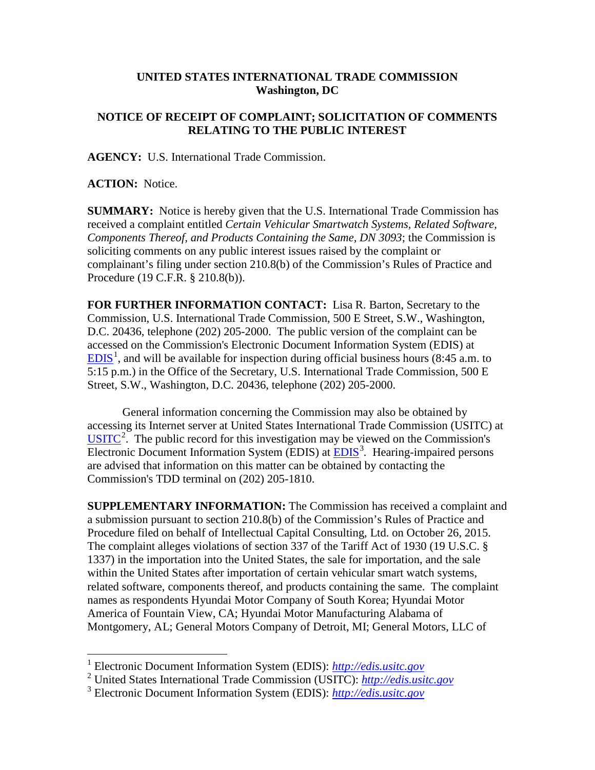## **UNITED STATES INTERNATIONAL TRADE COMMISSION Washington, DC**

## **NOTICE OF RECEIPT OF COMPLAINT; SOLICITATION OF COMMENTS RELATING TO THE PUBLIC INTEREST**

**AGENCY:** U.S. International Trade Commission.

**ACTION:** Notice.

**SUMMARY:** Notice is hereby given that the U.S. International Trade Commission has received a complaint entitled *Certain Vehicular Smartwatch Systems, Related Software, Components Thereof, and Products Containing the Same, DN 3093*; the Commission is soliciting comments on any public interest issues raised by the complaint or complainant's filing under section 210.8(b) of the Commission's Rules of Practice and Procedure (19 C.F.R. § 210.8(b)).

**FOR FURTHER INFORMATION CONTACT:** Lisa R. Barton, Secretary to the Commission, U.S. International Trade Commission, 500 E Street, S.W., Washington, D.C. 20436, telephone (202) 205-2000. The public version of the complaint can be accessed on the Commission's Electronic Document Information System (EDIS) at  $EDIS<sup>1</sup>$  $EDIS<sup>1</sup>$  $EDIS<sup>1</sup>$  $EDIS<sup>1</sup>$ , and will be available for inspection during official business hours (8:45 a.m. to 5:15 p.m.) in the Office of the Secretary, U.S. International Trade Commission, 500 E Street, S.W., Washington, D.C. 20436, telephone (202) 205-2000.

General information concerning the Commission may also be obtained by accessing its Internet server at United States International Trade Commission (USITC) at  $\overline{USTTC}^2$  $\overline{USTTC}^2$ . The public record for this investigation may be viewed on the Commission's Electronic Document Information System (EDIS) at **EDIS**<sup>[3](#page-0-2)</sup>. Hearing-impaired persons are advised that information on this matter can be obtained by contacting the Commission's TDD terminal on (202) 205-1810.

**SUPPLEMENTARY INFORMATION:** The Commission has received a complaint and a submission pursuant to section 210.8(b) of the Commission's Rules of Practice and Procedure filed on behalf of Intellectual Capital Consulting, Ltd. on October 26, 2015. The complaint alleges violations of section 337 of the Tariff Act of 1930 (19 U.S.C. § 1337) in the importation into the United States, the sale for importation, and the sale within the United States after importation of certain vehicular smart watch systems, related software, components thereof, and products containing the same. The complaint names as respondents Hyundai Motor Company of South Korea; Hyundai Motor America of Fountain View, CA; Hyundai Motor Manufacturing Alabama of Montgomery, AL; General Motors Company of Detroit, MI; General Motors, LLC of

<span id="page-0-0"></span> <sup>1</sup> Electronic Document Information System (EDIS): *[http://edis.usitc.gov](http://edis.usitc.gov/)*

<span id="page-0-1"></span><sup>2</sup> United States International Trade Commission (USITC): *[http://edis.usitc.gov](http://edis.usitc.gov/)*

<span id="page-0-2"></span><sup>3</sup> Electronic Document Information System (EDIS): *[http://edis.usitc.gov](http://edis.usitc.gov/)*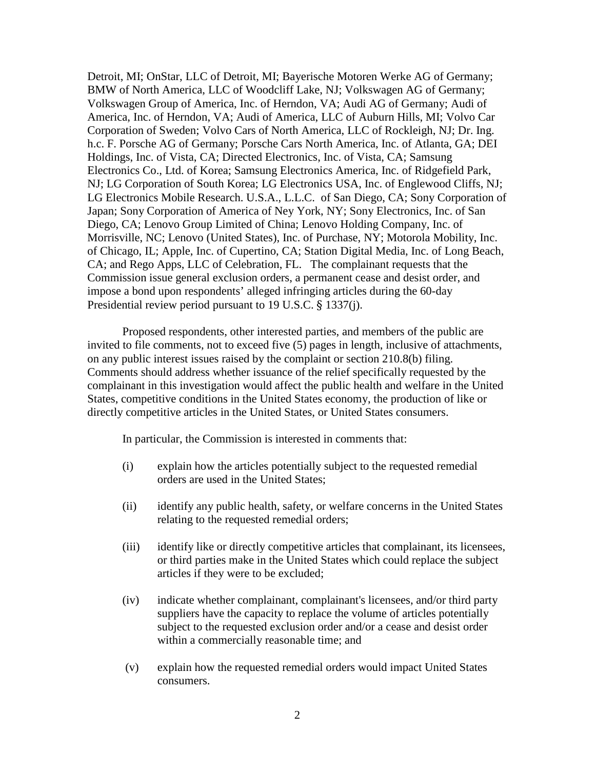Detroit, MI; OnStar, LLC of Detroit, MI; Bayerische Motoren Werke AG of Germany; BMW of North America, LLC of Woodcliff Lake, NJ; Volkswagen AG of Germany; Volkswagen Group of America, Inc. of Herndon, VA; Audi AG of Germany; Audi of America, Inc. of Herndon, VA; Audi of America, LLC of Auburn Hills, MI; Volvo Car Corporation of Sweden; Volvo Cars of North America, LLC of Rockleigh, NJ; Dr. Ing. h.c. F. Porsche AG of Germany; Porsche Cars North America, Inc. of Atlanta, GA; DEI Holdings, Inc. of Vista, CA; Directed Electronics, Inc. of Vista, CA; Samsung Electronics Co., Ltd. of Korea; Samsung Electronics America, Inc. of Ridgefield Park, NJ; LG Corporation of South Korea; LG Electronics USA, Inc. of Englewood Cliffs, NJ; LG Electronics Mobile Research. U.S.A., L.L.C. of San Diego, CA; Sony Corporation of Japan; Sony Corporation of America of Ney York, NY; Sony Electronics, Inc. of San Diego, CA; Lenovo Group Limited of China; Lenovo Holding Company, Inc. of Morrisville, NC; Lenovo (United States), Inc. of Purchase, NY; Motorola Mobility, Inc. of Chicago, IL; Apple, Inc. of Cupertino, CA; Station Digital Media, Inc. of Long Beach, CA; and Rego Apps, LLC of Celebration, FL. The complainant requests that the Commission issue general exclusion orders, a permanent cease and desist order, and impose a bond upon respondents' alleged infringing articles during the 60-day Presidential review period pursuant to 19 U.S.C. § 1337(j).

Proposed respondents, other interested parties, and members of the public are invited to file comments, not to exceed five (5) pages in length, inclusive of attachments, on any public interest issues raised by the complaint or section 210.8(b) filing. Comments should address whether issuance of the relief specifically requested by the complainant in this investigation would affect the public health and welfare in the United States, competitive conditions in the United States economy, the production of like or directly competitive articles in the United States, or United States consumers.

In particular, the Commission is interested in comments that:

- (i) explain how the articles potentially subject to the requested remedial orders are used in the United States;
- (ii) identify any public health, safety, or welfare concerns in the United States relating to the requested remedial orders;
- (iii) identify like or directly competitive articles that complainant, its licensees, or third parties make in the United States which could replace the subject articles if they were to be excluded;
- (iv) indicate whether complainant, complainant's licensees, and/or third party suppliers have the capacity to replace the volume of articles potentially subject to the requested exclusion order and/or a cease and desist order within a commercially reasonable time; and
- (v) explain how the requested remedial orders would impact United States consumers.